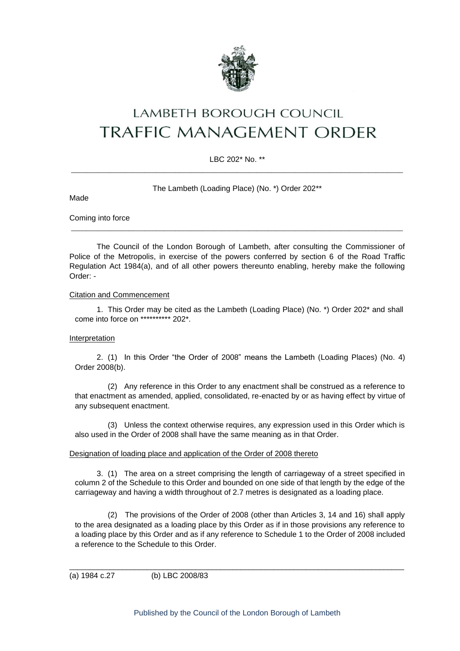

# **LAMBETH BOROUGH COUNCIL** TRAFFIC MANAGEMENT ORDER

### LBC 202\* No. \*\* \_\_\_\_\_\_\_\_\_\_\_\_\_\_\_\_\_\_\_\_\_\_\_\_\_\_\_\_\_\_\_\_\_\_\_\_\_\_\_\_\_\_\_\_\_\_\_\_\_\_\_\_\_\_\_\_\_\_\_\_\_\_\_\_\_\_\_\_\_\_\_\_\_\_\_\_\_\_\_\_\_\_\_\_\_\_

The Lambeth (Loading Place) (No. \*) Order 202\*\*

Coming into force

Made

The Council of the London Borough of Lambeth, after consulting the Commissioner of Police of the Metropolis, in exercise of the powers conferred by section 6 of the Road Traffic Regulation Act 1984(a), and of all other powers thereunto enabling, hereby make the following Order: -

\_\_\_\_\_\_\_\_\_\_\_\_\_\_\_\_\_\_\_\_\_\_\_\_\_\_\_\_\_\_\_\_\_\_\_\_\_\_\_\_\_\_\_\_\_\_\_\_\_\_\_\_\_\_\_\_\_\_\_\_\_\_\_\_\_\_\_\_\_\_\_\_\_\_\_\_\_\_\_\_\_\_\_\_\_\_

#### Citation and Commencement

1. This Order may be cited as the Lambeth (Loading Place) (No. \*) Order 202\* and shall come into force on \*\*\*\*\*\*\*\*\*\* 202\*.

#### Interpretation

2. (1) In this Order "the Order of 2008" means the Lambeth (Loading Places) (No. 4) Order 2008(b).

(2) Any reference in this Order to any enactment shall be construed as a reference to that enactment as amended, applied, consolidated, re-enacted by or as having effect by virtue of any subsequent enactment.

(3) Unless the context otherwise requires, any expression used in this Order which is also used in the Order of 2008 shall have the same meaning as in that Order.

#### Designation of loading place and application of the Order of 2008 thereto

3. (1) The area on a street comprising the length of carriageway of a street specified in column 2 of the Schedule to this Order and bounded on one side of that length by the edge of the carriageway and having a width throughout of 2.7 metres is designated as a loading place.

(2) The provisions of the Order of 2008 (other than Articles 3, 14 and 16) shall apply to the area designated as a loading place by this Order as if in those provisions any reference to a loading place by this Order and as if any reference to Schedule 1 to the Order of 2008 included a reference to the Schedule to this Order.

(a) 1984 c.27 (b) LBC 2008/83

\_\_\_\_\_\_\_\_\_\_\_\_\_\_\_\_\_\_\_\_\_\_\_\_\_\_\_\_\_\_\_\_\_\_\_\_\_\_\_\_\_\_\_\_\_\_\_\_\_\_\_\_\_\_\_\_\_\_\_\_\_\_\_\_\_\_\_\_\_\_\_\_\_\_\_\_\_\_\_\_\_\_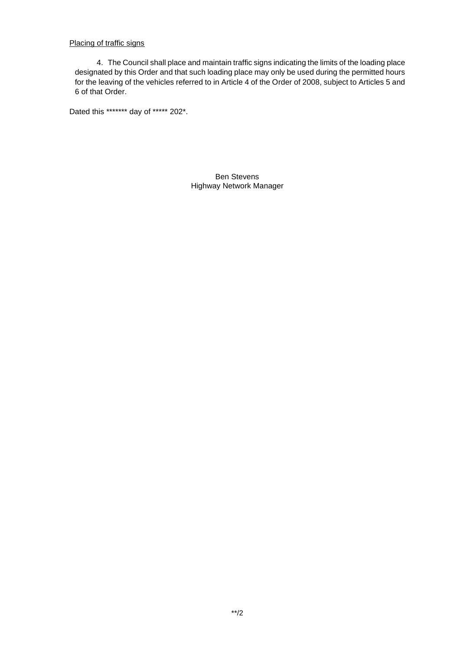Placing of traffic signs

4. The Council shall place and maintain traffic signs indicating the limits of the loading place designated by this Order and that such loading place may only be used during the permitted hours for the leaving of the vehicles referred to in Article 4 of the Order of 2008, subject to Articles 5 and 6 of that Order.

Dated this \*\*\*\*\*\*\* day of \*\*\*\*\* 202\*.

Ben Stevens Highway Network Manager